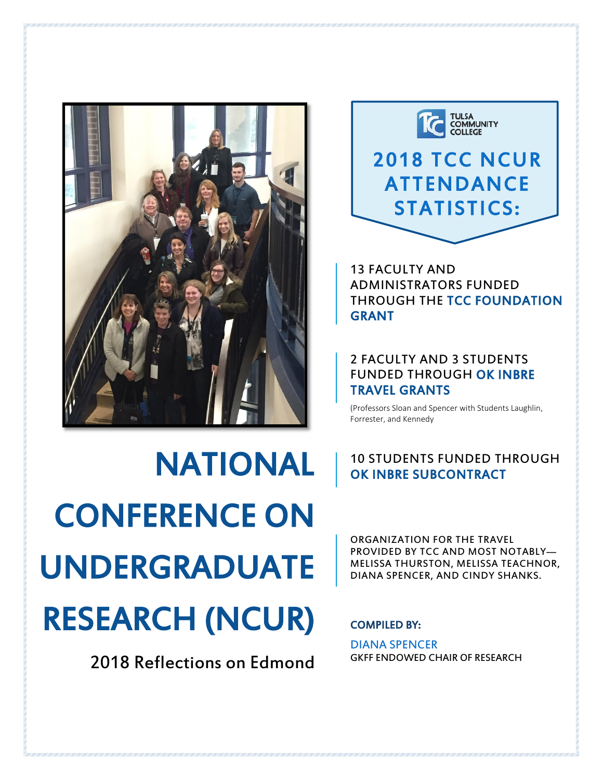

NATIONAL CONFERENCE ON UNDERGRADUATE RESEARCH (NCUR)

2018 Reflections on Edmond



# 2018 TCC NCUR ATTENDANCE STATISTICS:

13 FACULTY AND ADMINISTRATORS FUNDED THROUGH THE TCC FOUNDATION GRANT

### 2 FACULTY AND 3 STUDENTS FUNDED THROUGH OK INBRE TRAVEL GRANTS

(Professors Sloan and Spencer with Students Laughlin, Forrester, and Kennedy

### 10 STUDENTS FUNDED THROUGH OK INBRE SUBCONTRACT

ORGANIZATION FOR THE TRAVEL PROVIDED BY TCC AND MOST NOTABLY— MELISSA THURSTON, MELISSA TEACHNOR, DIANA SPENCER, AND CINDY SHANKS.

### COMPILED BY:

DIANA SPENCER GKFF ENDOWED CHAIR OF RESEARCH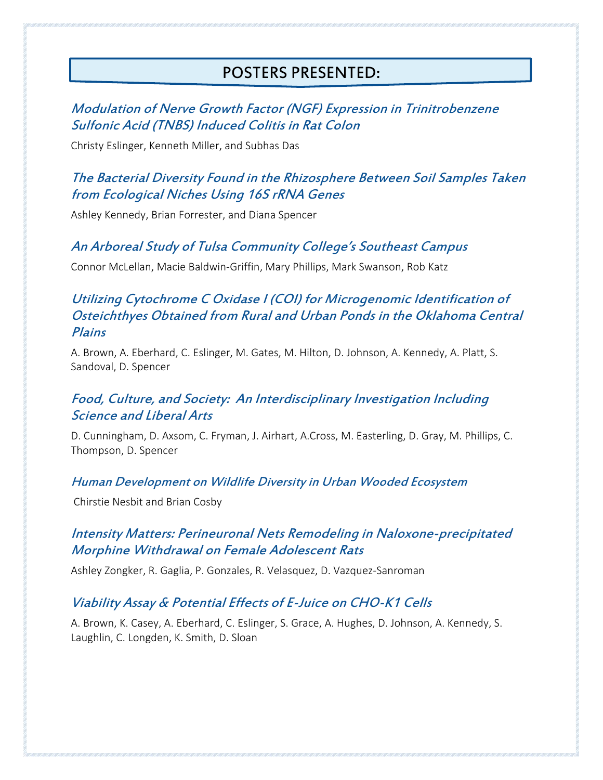# POSTERS PRESENTED:

### Modulation of Nerve Growth Factor (NGF) Expression in Trinitrobenzene Sulfonic Acid (TNBS) Induced Colitis in Rat Colon

Christy Eslinger, Kenneth Miller, and Subhas Das

### The Bacterial Diversity Found in the Rhizosphere Between Soil Samples Taken from Ecological Niches Using 16S rRNA Genes

Ashley Kennedy, Brian Forrester, and Diana Spencer

### An Arboreal Study of Tulsa Community College's Southeast Campus

Connor McLellan, Macie Baldwin-Griffin, Mary Phillips, Mark Swanson, Rob Katz

### Utilizing Cytochrome C Oxidase I (COI) for Microgenomic Identification of Osteichthyes Obtained from Rural and Urban Ponds in the Oklahoma Central Plains

A. Brown, A. Eberhard, C. Eslinger, M. Gates, M. Hilton, D. Johnson, A. Kennedy, A. Platt, S. Sandoval, D. Spencer

### Food, Culture, and Society: An Interdisciplinary Investigation Including Science and Liberal Arts

D. Cunningham, D. Axsom, C. Fryman, J. Airhart, A.Cross, M. Easterling, D. Gray, M. Phillips, C. Thompson, D. Spencer

### Human Development on Wildlife Diversity in Urban Wooded Ecosystem

Chirstie Nesbit and Brian Cosby

### Intensity Matters: Perineuronal Nets Remodeling in Naloxone-precipitated Morphine Withdrawal on Female Adolescent Rats

Ashley Zongker, R. Gaglia, P. Gonzales, R. Velasquez, D. Vazquez-Sanroman

### Viability Assay & Potential Effects of E-Juice on CHO-K1 Cells

A. Brown, K. Casey, A. Eberhard, C. Eslinger, S. Grace, A. Hughes, D. Johnson, A. Kennedy, S. Laughlin, C. Longden, K. Smith, D. Sloan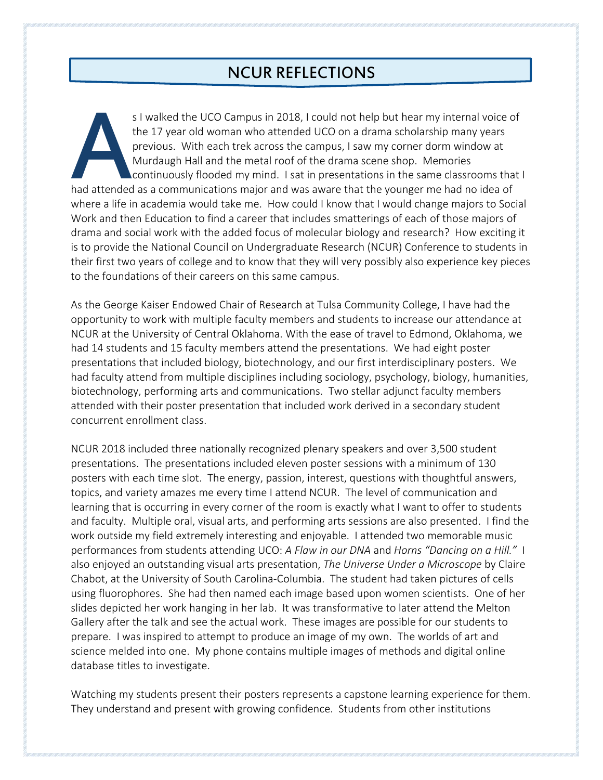# NCUR REFLECTIONS

s I walked the UCO Campus in 2018, I could not help but hear my internal voice of the 17 year old woman who attended UCO on a drama scholarship many years previous. With each trek across the campus, I saw my corner dorm window at Murdaugh Hall and the metal roof of the drama scene shop. Memories continuously flooded my mind. I sat in presentations in the same classrooms that I had attended as a communications major and was aware that the younger me had no idea of where a life in academia would take me. How could I know that I would change majors to Social Work and then Education to find a career that includes smatterings of each of those majors of drama and social work with the added focus of molecular biology and research? How exciting it is to provide the National Council on Undergraduate Research (NCUR) Conference to students in their first two years of college and to know that they will very possibly also experience key pieces to the foundations of their careers on this same campus. A<br>had attended<br>where a life i

As the George Kaiser Endowed Chair of Research at Tulsa Community College, I have had the opportunity to work with multiple faculty members and students to increase our attendance at NCUR at the University of Central Oklahoma. With the ease of travel to Edmond, Oklahoma, we had 14 students and 15 faculty members attend the presentations. We had eight poster presentations that included biology, biotechnology, and our first interdisciplinary posters. We had faculty attend from multiple disciplines including sociology, psychology, biology, humanities, biotechnology, performing arts and communications. Two stellar adjunct faculty members attended with their poster presentation that included work derived in a secondary student concurrent enrollment class.

NCUR 2018 included three nationally recognized plenary speakers and over 3,500 student presentations. The presentations included eleven poster sessions with a minimum of 130 posters with each time slot. The energy, passion, interest, questions with thoughtful answers, topics, and variety amazes me every time I attend NCUR. The level of communication and learning that is occurring in every corner of the room is exactly what I want to offer to students and faculty. Multiple oral, visual arts, and performing arts sessions are also presented. I find the work outside my field extremely interesting and enjoyable. I attended two memorable music performances from students attending UCO: *A Flaw in our DNA* and *Horns "Dancing on a Hill."* I also enjoyed an outstanding visual arts presentation, *The Universe Under a Microscope* by Claire Chabot, at the University of South Carolina-Columbia. The student had taken pictures of cells using fluorophores. She had then named each image based upon women scientists. One of her slides depicted her work hanging in her lab. It was transformative to later attend the Melton Gallery after the talk and see the actual work. These images are possible for our students to prepare. I was inspired to attempt to produce an image of my own. The worlds of art and science melded into one. My phone contains multiple images of methods and digital online database titles to investigate.

Watching my students present their posters represents a capstone learning experience for them. They understand and present with growing confidence. Students from other institutions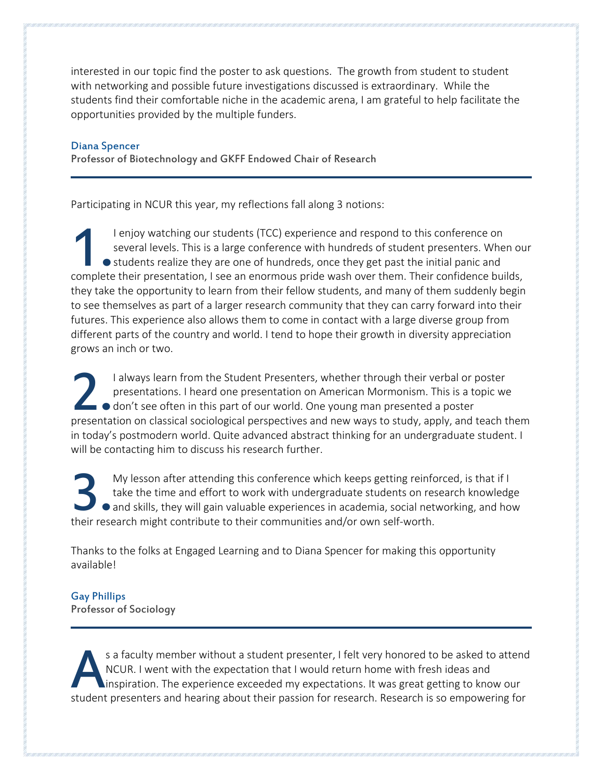interested in our topic find the poster to ask questions. The growth from student to student with networking and possible future investigations discussed is extraordinary. While the students find their comfortable niche in the academic arena, I am grateful to help facilitate the opportunities provided by the multiple funders.

#### Diana Spencer

Professor of Biotechnology and GKFF Endowed Chair of Research

Participating in NCUR this year, my reflections fall along 3 notions:

I enjoy watching our students (TCC) experience and respond to this conference on several levels. This is a large conference with hundreds of student presenters. When our • students realize they are one of hundreds, once they get past the initial panic and I enjoy watching our students (TCC) experience and respond to this conference on several levels. This is a large conference with hundreds of student presenters. When our students realize they are one of hundreds, once they they take the opportunity to learn from their fellow students, and many of them suddenly begin to see themselves as part of a larger research community that they can carry forward into their futures. This experience also allows them to come in contact with a large diverse group from different parts of the country and world. I tend to hope their growth in diversity appreciation grows an inch or two.

I always learn from the Student Presenters, whether through their verbal or poster presentations. I heard one presentation on American Mormonism. This is a topic we  $\Box$   $\bullet$  don't see often in this part of our world. One young man presented a poster I always learn from the Student Presenters, whether through their verbal or poster<br>presentations. I heard one presentation on American Mormonism. This is a topic we<br>don't see often in this part of our world. One young man in today's postmodern world. Quite advanced abstract thinking for an undergraduate student. I will be contacting him to discuss his research further.

My lesson after attending this conference which keeps getting reinforced, is that if I take the time and effort to work with undergraduate students on research knowledge and skills, they will gain valuable experiences in academia, social networking, and how My lesson after attending this conference which keeps getting reinfortake the time and effort to work with undergraduate students on re and skills, they will gain valuable experiences in academia, social net their research

Thanks to the folks at Engaged Learning and to Diana Spencer for making this opportunity available!

### Gay Phillips

Professor of Sociology

s a faculty member without a student presenter, I felt very honored to be asked to attend NCUR. I went with the expectation that I would return home with fresh ideas and inspiration. The experience exceeded my expectations. It was great getting to know our s a faculty member without a student presenter, I felt very honored to be asked to attend<br>
NCUR. I went with the expectation that I would return home with fresh ideas and<br>
inspiration. The experience exceeded my expectatio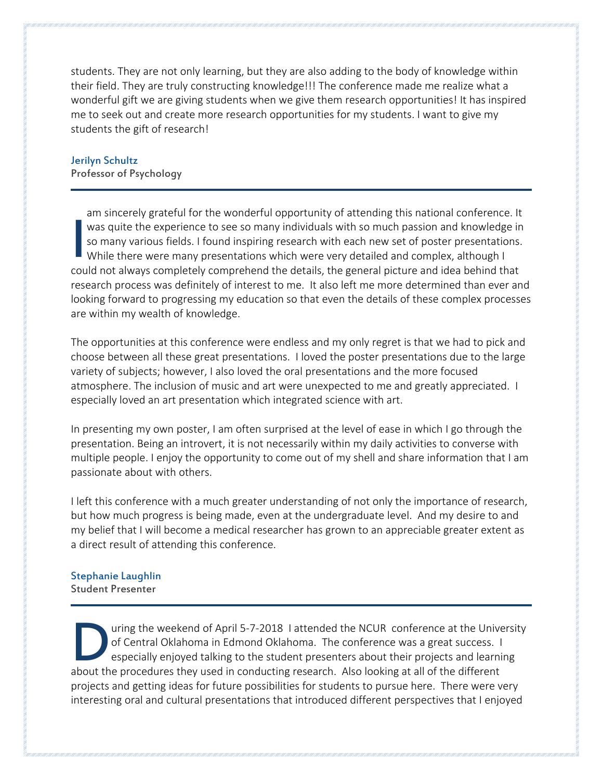students. They are not only learning, but they are also adding to the body of knowledge within their field. They are truly constructing knowledge!!! The conference made me realize what a wonderful gift we are giving students when we give them research opportunities! It has inspired me to seek out and create more research opportunities for my students. I want to give my students the gift of research!

#### Jerilyn Schultz Professor of Psychology

am sincerely grateful for the wonderful opportunity of attending this national conference. It was quite the experience to see so many individuals with so much passion and knowledge in so many various fields. I found inspiring research with each new set of poster presentations. While there were many presentations which were very detailed and complex, although I was quite the experience to see so many individuals with so much passion and knowledge in<br>
so many various fields. I found inspiring research with each new set of poster presentations.<br>
While there were many presentations research process was definitely of interest to me. It also left me more determined than ever and looking forward to progressing my education so that even the details of these complex processes are within my wealth of knowledge.

The opportunities at this conference were endless and my only regret is that we had to pick and choose between all these great presentations. I loved the poster presentations due to the large variety of subjects; however, I also loved the oral presentations and the more focused atmosphere. The inclusion of music and art were unexpected to me and greatly appreciated. I especially loved an art presentation which integrated science with art.

In presenting my own poster, I am often surprised at the level of ease in which I go through the presentation. Being an introvert, it is not necessarily within my daily activities to converse with multiple people. I enjoy the opportunity to come out of my shell and share information that I am passionate about with others.

I left this conference with a much greater understanding of not only the importance of research, but how much progress is being made, even at the undergraduate level. And my desire to and my belief that I will become a medical researcher has grown to an appreciable greater extent as a direct result of attending this conference.

#### Stephanie Laughlin Student Presenter

uring the weekend of April 5-7-2018 I attended the NCUR conference at the University of Central Oklahoma in Edmond Oklahoma. The conference was a great success. I especially enjoyed talking to the student presenters about their projects and learning about the procedures they used in conducting research. Also looking at all of the different about the procedures they used in conducting research. Also looking at all of the different about the procedures they used in cond projects and getting ideas for future possibilities for students to pursue here. There were very interesting oral and cultural presentations that introduced different perspectives that I enjoyed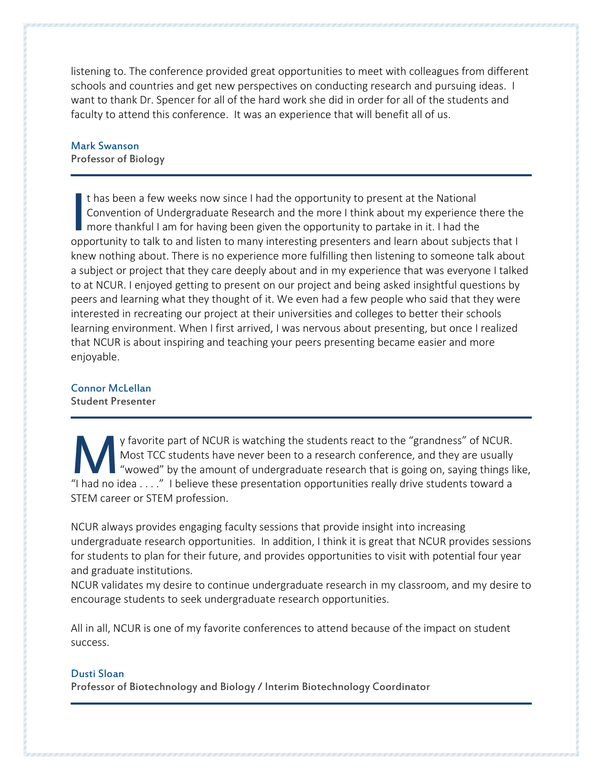listening to. The conference provided great opportunities to meet with colleagues from different schools and countries and get new perspectives on conducting research and pursuing ideas. I want to thank Dr. Spencer for all of the hard work she did in order for all of the students and faculty to attend this conference. It was an experience that will benefit all of us.

# Mark Swanson

Professor of Biology

t has been a few weeks now since I had the opportunity to present at the National Convention of Undergraduate Research and the more I think about my experience there the more thankful I am for having been given the opportunity to partake in it. I had the It has been a few weeks now since I had the opportunity to present at the National<br>Convention of Undergraduate Research and the more I think about my experience there the<br>more thankful I am for having been given the opport knew nothing about. There is no experience more fulfilling then listening to someone talk about a subject or project that they care deeply about and in my experience that was everyone I talked to at NCUR. I enjoyed getting to present on our project and being asked insightful questions by peers and learning what they thought of it. We even had a few people who said that they were interested in recreating our project at their universities and colleges to better their schools learning environment. When I first arrived, I was nervous about presenting, but once I realized that NCUR is about inspiring and teaching your peers presenting became easier and more enjoyable.

### Connor McLellan

Student Presenter

y favorite part of NCUR is watching the students react to the "grandness" of NCUR. Most TCC students have never been to a research conference, and they are usually "wowed" by the amount of undergraduate research that is going on, saying things like, Y favorite part of NCUR is watching the students react to the "grandness" of NCUR.<br>
Most TCC students have never been to a research conference, and they are usually<br>
"I had no idea . . . ." I believe these presentation opp STEM career or STEM profession.

NCUR always provides engaging faculty sessions that provide insight into increasing undergraduate research opportunities. In addition, I think it is great that NCUR provides sessions for students to plan for their future, and provides opportunities to visit with potential four year and graduate institutions.

NCUR validates my desire to continue undergraduate research in my classroom, and my desire to encourage students to seek undergraduate research opportunities.

All in all, NCUR is one of my favorite conferences to attend because of the impact on student success.

### Dusti Sloan

Professor of Biotechnology and Biology / Interim Biotechnology Coordinator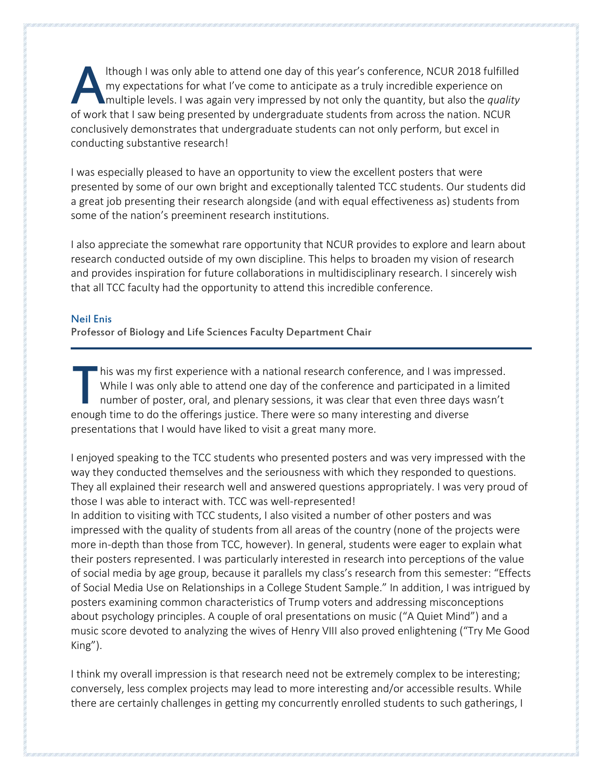lthough I was only able to attend one day of this year's conference, NCUR 2018 fulfilled my expectations for what I've come to anticipate as a truly incredible experience on multiple levels. I was again very impressed by not only the quantity, but also the *quality* Ithough I was only able to attend one day of this year's conference, NCUR 2018 fulfille<br>my expectations for what I've come to anticipate as a truly incredible experience on<br>multiple levels. I was again very impressed by no conclusively demonstrates that undergraduate students can not only perform, but excel in conducting substantive research!

I was especially pleased to have an opportunity to view the excellent posters that were presented by some of our own bright and exceptionally talented TCC students. Our students did a great job presenting their research alongside (and with equal effectiveness as) students from some of the nation's preeminent research institutions.

I also appreciate the somewhat rare opportunity that NCUR provides to explore and learn about research conducted outside of my own discipline. This helps to broaden my vision of research and provides inspiration for future collaborations in multidisciplinary research. I sincerely wish that all TCC faculty had the opportunity to attend this incredible conference.

#### Neil Enis

Professor of Biology and Life Sciences Faculty Department Chair

**his was my first experience with a national research conference, and I was impressed.** While I was only able to attend one day of the conference and participated in a limited number of poster, oral, and plenary sessions, it was clear that even three days wasn't his was my first experience with a national research conference, and I was imp<br>While I was only able to attend one day of the conference and participated in a<br>number of poster, oral, and plenary sessions, it was clear that presentations that I would have liked to visit a great many more.

I enjoyed speaking to the TCC students who presented posters and was very impressed with the way they conducted themselves and the seriousness with which they responded to questions. They all explained their research well and answered questions appropriately. I was very proud of those I was able to interact with. TCC was well-represented!

In addition to visiting with TCC students, I also visited a number of other posters and was impressed with the quality of students from all areas of the country (none of the projects were more in-depth than those from TCC, however). In general, students were eager to explain what their posters represented. I was particularly interested in research into perceptions of the value of social media by age group, because it parallels my class's research from this semester: "Effects of Social Media Use on Relationships in a College Student Sample." In addition, I was intrigued by posters examining common characteristics of Trump voters and addressing misconceptions about psychology principles. A couple of oral presentations on music ("A Quiet Mind") and a music score devoted to analyzing the wives of Henry VIII also proved enlightening ("Try Me Good King").

I think my overall impression is that research need not be extremely complex to be interesting; conversely, less complex projects may lead to more interesting and/or accessible results. While there are certainly challenges in getting my concurrently enrolled students to such gatherings, I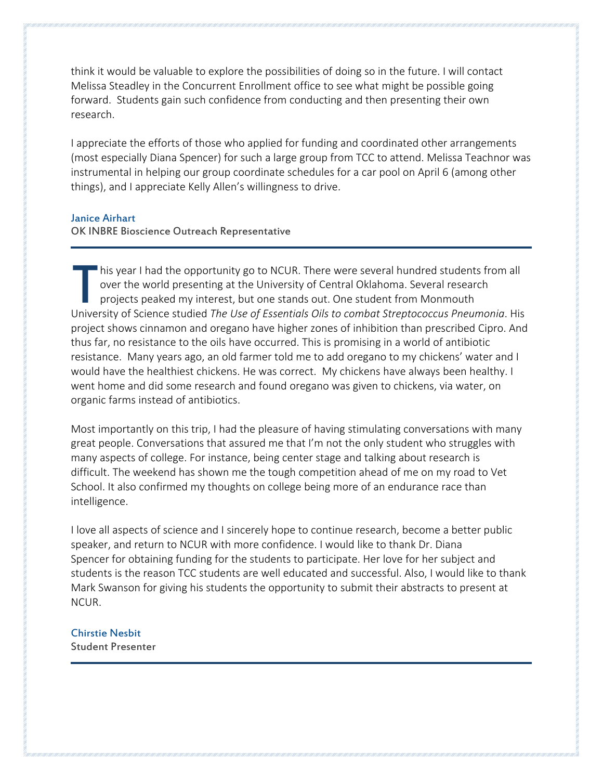think it would be valuable to explore the possibilities of doing so in the future. I will contact Melissa Steadley in the Concurrent Enrollment office to see what might be possible going forward. Students gain such confidence from conducting and then presenting their own research.

I appreciate the efforts of those who applied for funding and coordinated other arrangements (most especially Diana Spencer) for such a large group from TCC to attend. Melissa Teachnor was instrumental in helping our group coordinate schedules for a car pool on April 6 (among other things), and I appreciate Kelly Allen's willingness to drive.

#### Janice Airhart

#### OK INBRE Bioscience Outreach Representative

his year I had the opportunity go to NCUR. There were several hundred students from all over the world presenting at the University of Central Oklahoma. Several research projects peaked my interest, but one stands out. One student from Monmouth Inis year I had the opportunity go to NCUR. There were several hundred students from all over the world presenting at the University of Central Oklahoma. Several research projects peaked my interest, but one stands out. On project shows cinnamon and oregano have higher zones of inhibition than prescribed Cipro. And thus far, no resistance to the oils have occurred. This is promising in a world of antibiotic resistance. Many years ago, an old farmer told me to add oregano to my chickens' water and I would have the healthiest chickens. He was correct. My chickens have always been healthy. I went home and did some research and found oregano was given to chickens, via water, on organic farms instead of antibiotics.

Most importantly on this trip, I had the pleasure of having stimulating conversations with many great people. Conversations that assured me that I'm not the only student who struggles with many aspects of college. For instance, being center stage and talking about research is difficult. The weekend has shown me the tough competition ahead of me on my road to Vet School. It also confirmed my thoughts on college being more of an endurance race than intelligence.

I love all aspects of science and I sincerely hope to continue research, become a better public speaker, and return to NCUR with more confidence. I would like to thank Dr. Diana Spencer for obtaining funding for the students to participate. Her love for her subject and students is the reason TCC students are well educated and successful. Also, I would like to thank Mark Swanson for giving his students the opportunity to submit their abstracts to present at NCUR.

#### Chirstie Nesbit Student Presenter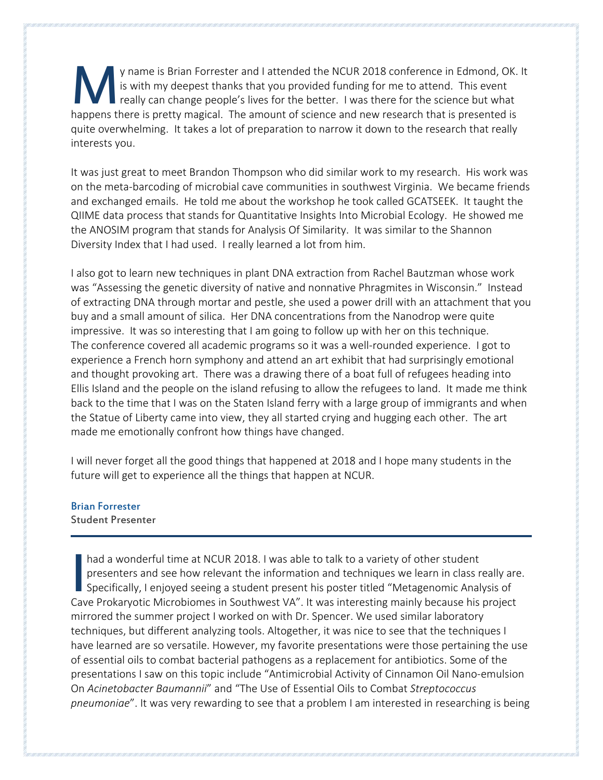y name is Brian Forrester and I attended the NCUR 2018 conference in Edmond, OK. It is with my deepest thanks that you provided funding for me to attend. This event really can change people's lives for the better. I was there for the science but what y name is Brian Forrester and I attended the NCUR 2018 conference in Edmond, OK.<br>
is with my deepest thanks that you provided funding for me to attend. This event<br>
happens there is pretty magical. The amount of science and quite overwhelming. It takes a lot of preparation to narrow it down to the research that really interests you.

It was just great to meet Brandon Thompson who did similar work to my research. His work was on the meta-barcoding of microbial cave communities in southwest Virginia. We became friends and exchanged emails. He told me about the workshop he took called GCATSEEK. It taught the QIIME data process that stands for Quantitative Insights Into Microbial Ecology. He showed me the ANOSIM program that stands for Analysis Of Similarity. It was similar to the Shannon Diversity Index that I had used. I really learned a lot from him.

I also got to learn new techniques in plant DNA extraction from Rachel Bautzman whose work was "Assessing the genetic diversity of native and nonnative Phragmites in Wisconsin." Instead of extracting DNA through mortar and pestle, she used a power drill with an attachment that you buy and a small amount of silica. Her DNA concentrations from the Nanodrop were quite impressive. It was so interesting that I am going to follow up with her on this technique. The conference covered all academic programs so it was a well-rounded experience. I got to experience a French horn symphony and attend an art exhibit that had surprisingly emotional and thought provoking art. There was a drawing there of a boat full of refugees heading into Ellis Island and the people on the island refusing to allow the refugees to land. It made me think back to the time that I was on the Staten Island ferry with a large group of immigrants and when the Statue of Liberty came into view, they all started crying and hugging each other. The art made me emotionally confront how things have changed.

I will never forget all the good things that happened at 2018 and I hope many students in the future will get to experience all the things that happen at NCUR.

#### Brian Forrester

Student Presenter

had a wonderful time at NCUR 2018. I was able to talk to a variety of other student presenters and see how relevant the information and techniques we learn in class really are. Specifically, I enjoyed seeing a student present his poster titled "Metagenomic Analysis of had a wonderful time at NCUR 2018. I was able to talk to a variety of other student<br>presenters and see how relevant the information and techniques we learn in class really are<br>Specifically, I enjoyed seeing a student prese mirrored the summer project I worked on with Dr. Spencer. We used similar laboratory techniques, but different analyzing tools. Altogether, it was nice to see that the techniques I have learned are so versatile. However, my favorite presentations were those pertaining the use of essential oils to combat bacterial pathogens as a replacement for antibiotics. Some of the presentations I saw on this topic include "Antimicrobial Activity of Cinnamon Oil Nano-emulsion On *Acinetobacter Baumannii*" and "The Use of Essential Oils to Combat *Streptococcus pneumoniae*". It was very rewarding to see that a problem I am interested in researching is being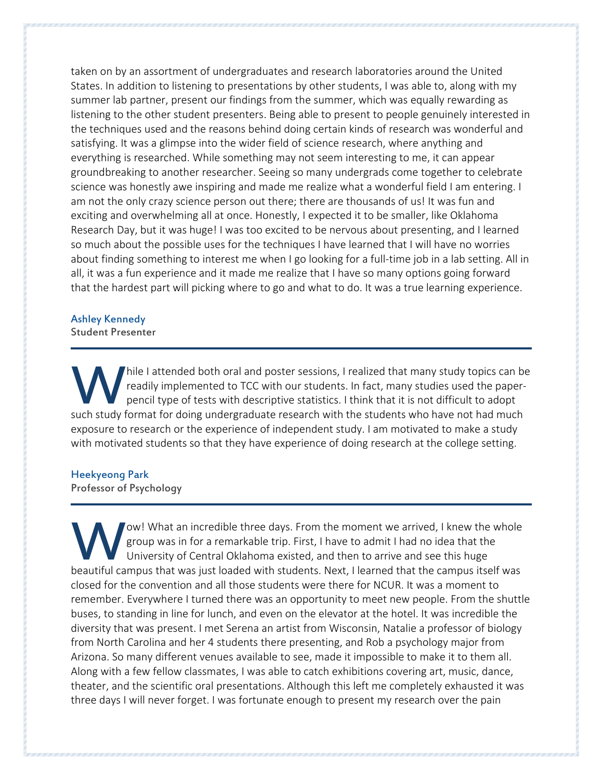taken on by an assortment of undergraduates and research laboratories around the United States. In addition to listening to presentations by other students, I was able to, along with my summer lab partner, present our findings from the summer, which was equally rewarding as listening to the other student presenters. Being able to present to people genuinely interested in the techniques used and the reasons behind doing certain kinds of research was wonderful and satisfying. It was a glimpse into the wider field of science research, where anything and everything is researched. While something may not seem interesting to me, it can appear groundbreaking to another researcher. Seeing so many undergrads come together to celebrate science was honestly awe inspiring and made me realize what a wonderful field I am entering. I am not the only crazy science person out there; there are thousands of us! It was fun and exciting and overwhelming all at once. Honestly, I expected it to be smaller, like Oklahoma Research Day, but it was huge! I was too excited to be nervous about presenting, and I learned so much about the possible uses for the techniques I have learned that I will have no worries about finding something to interest me when I go looking for a full-time job in a lab setting. All in all, it was a fun experience and it made me realize that I have so many options going forward that the hardest part will picking where to go and what to do. It was a true learning experience.

## Ashley Kennedy

Student Presenter

hile I attended both oral and poster sessions, I realized that many study topics can be readily implemented to TCC with our students. In fact, many studies used the paperpencil type of tests with descriptive statistics. I think that it is not difficult to adopt such study format for doing undergraduate research with the students who have not had much study format for doing undergraduate research with the students who have not had much such study format for doing undergraduate res exposure to research or the experience of independent study. I am motivated to make a study with motivated students so that they have experience of doing research at the college setting.

#### Heekyeong Park

Professor of Psychology

ow! What an incredible three days. From the moment we arrived, I knew the whole group was in for a remarkable trip. First, I have to admit I had no idea that the University of Central Oklahoma existed, and then to arrive and see this huge beautiful campus that was just loaded with students. Next, I have to admit I had no idea that the University of Central Oklahoma existed, and then to arrive and see this huge beautiful campus that was just loaded with stud closed for the convention and all those students were there for NCUR. It was a moment to remember. Everywhere I turned there was an opportunity to meet new people. From the shuttle buses, to standing in line for lunch, and even on the elevator at the hotel. It was incredible the diversity that was present. I met Serena an artist from Wisconsin, Natalie a professor of biology from North Carolina and her 4 students there presenting, and Rob a psychology major from Arizona. So many different venues available to see, made it impossible to make it to them all. Along with a few fellow classmates, I was able to catch exhibitions covering art, music, dance, theater, and the scientific oral presentations. Although this left me completely exhausted it was three days I will never forget. I was fortunate enough to present my research over the pain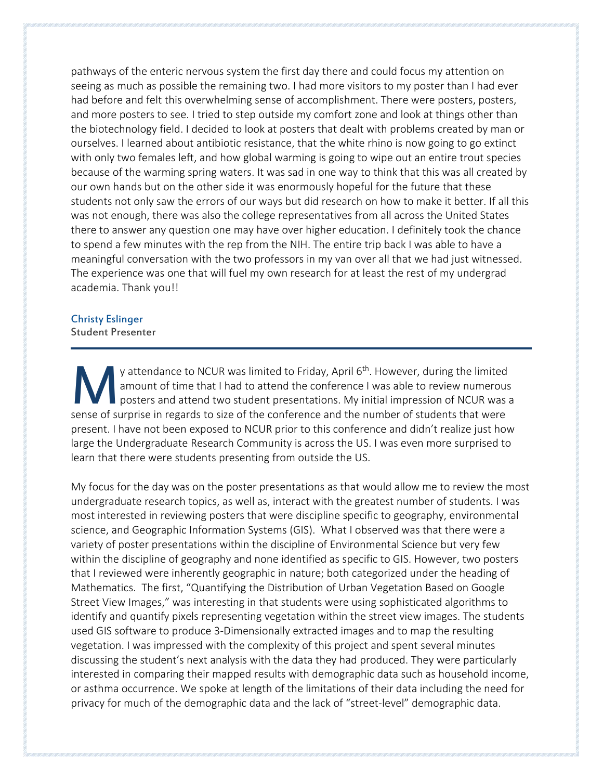pathways of the enteric nervous system the first day there and could focus my attention on seeing as much as possible the remaining two. I had more visitors to my poster than I had ever had before and felt this overwhelming sense of accomplishment. There were posters, posters, and more posters to see. I tried to step outside my comfort zone and look at things other than the biotechnology field. I decided to look at posters that dealt with problems created by man or ourselves. I learned about antibiotic resistance, that the white rhino is now going to go extinct with only two females left, and how global warming is going to wipe out an entire trout species because of the warming spring waters. It was sad in one way to think that this was all created by our own hands but on the other side it was enormously hopeful for the future that these students not only saw the errors of our ways but did research on how to make it better. If all this was not enough, there was also the college representatives from all across the United States there to answer any question one may have over higher education. I definitely took the chance to spend a few minutes with the rep from the NIH. The entire trip back I was able to have a meaningful conversation with the two professors in my van over all that we had just witnessed. The experience was one that will fuel my own research for at least the rest of my undergrad academia. Thank you!!

#### Christy Eslinger Student Presenter

y attendance to NCUR was limited to Friday, April 6<sup>th</sup>. However, during the limited amount of time that I had to attend the conference I was able to review numerous posters and attend two student presentations. My initial impression of NCUR was a y attendance to NCUR was limited to Friday, April 6<sup>th</sup>. However, during the limited amount of time that I had to attend the conference I was able to review numerous posters and attend two student presentations. My initial present. I have not been exposed to NCUR prior to this conference and didn't realize just how large the Undergraduate Research Community is across the US. I was even more surprised to learn that there were students presenting from outside the US.

My focus for the day was on the poster presentations as that would allow me to review the most undergraduate research topics, as well as, interact with the greatest number of students. I was most interested in reviewing posters that were discipline specific to geography, environmental science, and Geographic Information Systems (GIS). What I observed was that there were a variety of poster presentations within the discipline of Environmental Science but very few within the discipline of geography and none identified as specific to GIS. However, two posters that I reviewed were inherently geographic in nature; both categorized under the heading of Mathematics. The first, "Quantifying the Distribution of Urban Vegetation Based on Google Street View Images," was interesting in that students were using sophisticated algorithms to identify and quantify pixels representing vegetation within the street view images. The students used GIS software to produce 3-Dimensionally extracted images and to map the resulting vegetation. I was impressed with the complexity of this project and spent several minutes discussing the student's next analysis with the data they had produced. They were particularly interested in comparing their mapped results with demographic data such as household income, or asthma occurrence. We spoke at length of the limitations of their data including the need for privacy for much of the demographic data and the lack of "street-level" demographic data.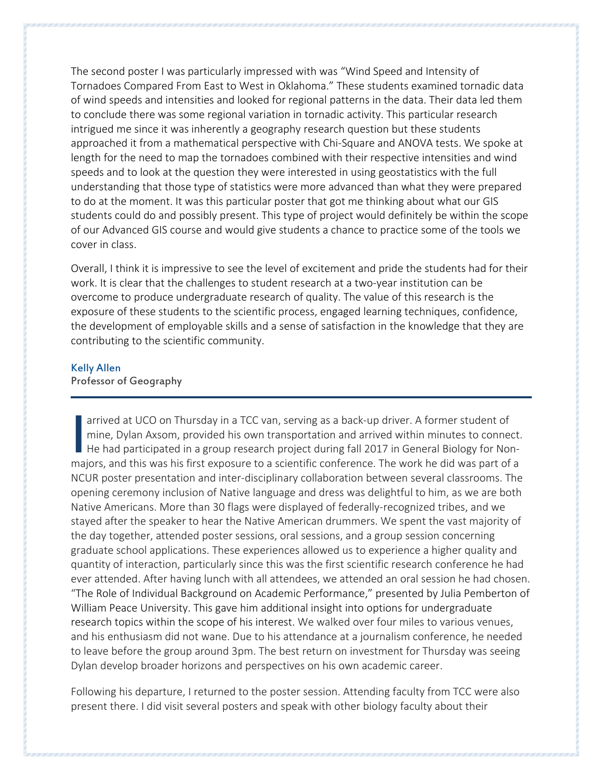The second poster I was particularly impressed with was "Wind Speed and Intensity of Tornadoes Compared From East to West in Oklahoma." These students examined tornadic data of wind speeds and intensities and looked for regional patterns in the data. Their data led them to conclude there was some regional variation in tornadic activity. This particular research intrigued me since it was inherently a geography research question but these students approached it from a mathematical perspective with Chi-Square and ANOVA tests. We spoke at length for the need to map the tornadoes combined with their respective intensities and wind speeds and to look at the question they were interested in using geostatistics with the full understanding that those type of statistics were more advanced than what they were prepared to do at the moment. It was this particular poster that got me thinking about what our GIS students could do and possibly present. This type of project would definitely be within the scope of our Advanced GIS course and would give students a chance to practice some of the tools we cover in class.

Overall, I think it is impressive to see the level of excitement and pride the students had for their work. It is clear that the challenges to student research at a two-year institution can be overcome to produce undergraduate research of quality. The value of this research is the exposure of these students to the scientific process, engaged learning techniques, confidence, the development of employable skills and a sense of satisfaction in the knowledge that they are contributing to the scientific community.

#### Kelly Allen

#### Professor of Geography

arrived at UCO on Thursday in a TCC van, serving as a back-up driver. A former student of mine, Dylan Axsom, provided his own transportation and arrived within minutes to connect. He had participated in a group research project during fall 2017 in General Biology for Nonarrived at UCO on Thursday in a TCC van, serving as a back-up driver. A former student of mine, Dylan Axsom, provided his own transportation and arrived within minutes to connect. He had participated in a group research pr NCUR poster presentation and inter-disciplinary collaboration between several classrooms. The opening ceremony inclusion of Native language and dress was delightful to him, as we are both Native Americans. More than 30 flags were displayed of federally-recognized tribes, and we stayed after the speaker to hear the Native American drummers. We spent the vast majority of the day together, attended poster sessions, oral sessions, and a group session concerning graduate school applications. These experiences allowed us to experience a higher quality and quantity of interaction, particularly since this was the first scientific research conference he had ever attended. After having lunch with all attendees, we attended an oral session he had chosen. "The Role of Individual Background on Academic Performance," presented by Julia Pemberton of William Peace University. This gave him additional insight into options for undergraduate research topics within the scope of his interest. We walked over four miles to various venues, and his enthusiasm did not wane. Due to his attendance at a journalism conference, he needed to leave before the group around 3pm. The best return on investment for Thursday was seeing Dylan develop broader horizons and perspectives on his own academic career.

Following his departure, I returned to the poster session. Attending faculty from TCC were also present there. I did visit several posters and speak with other biology faculty about their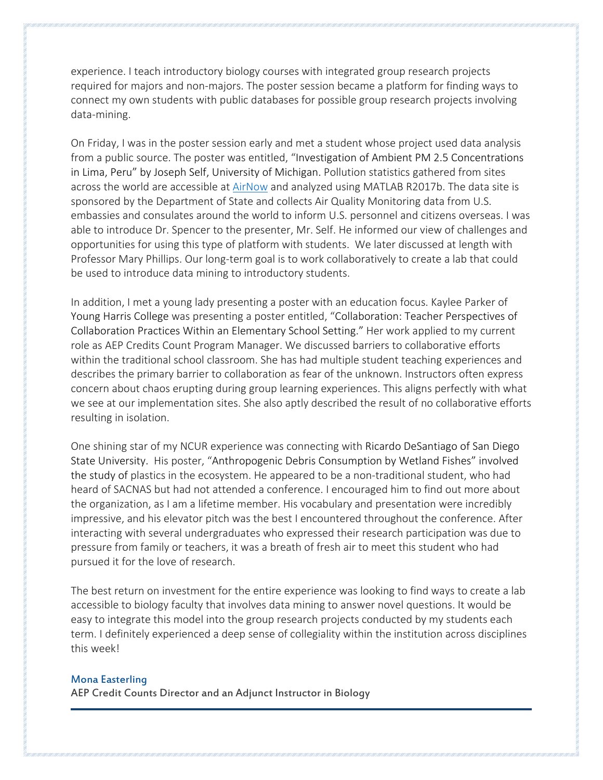experience. I teach introductory biology courses with integrated group research projects required for majors and non-majors. The poster session became a platform for finding ways to connect my own students with public databases for possible group research projects involving data-mining.

On Friday, I was in the poster session early and met a student whose project used data analysis from a public source. The poster was entitled, "Investigation of Ambient PM 2.5 Concentrations in Lima, Peru" by Joseph Self, University of Michigan. Pollution statistics gathered from sites across the world are accessible at [AirNow](https://airnow.gov/index.cfm?action=airnow.global_summary) and analyzed using MATLAB R2017b. The data site is sponsored by the Department of State and collects Air Quality Monitoring data from U.S. embassies and consulates around the world to inform U.S. personnel and citizens overseas. I was able to introduce Dr. Spencer to the presenter, Mr. Self. He informed our view of challenges and opportunities for using this type of platform with students. We later discussed at length with Professor Mary Phillips. Our long-term goal is to work collaboratively to create a lab that could be used to introduce data mining to introductory students.

In addition, I met a young lady presenting a poster with an education focus. Kaylee Parker of Young Harris College was presenting a poster entitled, "Collaboration: Teacher Perspectives of Collaboration Practices Within an Elementary School Setting." Her work applied to my current role as AEP Credits Count Program Manager. We discussed barriers to collaborative efforts within the traditional school classroom. She has had multiple student teaching experiences and describes the primary barrier to collaboration as fear of the unknown. Instructors often express concern about chaos erupting during group learning experiences. This aligns perfectly with what we see at our implementation sites. She also aptly described the result of no collaborative efforts resulting in isolation.

One shining star of my NCUR experience was connecting with Ricardo DeSantiago of San Diego State University. His poster, "Anthropogenic Debris Consumption by Wetland Fishes" involved the study of plastics in the ecosystem. He appeared to be a non-traditional student, who had heard of SACNAS but had not attended a conference. I encouraged him to find out more about the organization, as I am a lifetime member. His vocabulary and presentation were incredibly impressive, and his elevator pitch was the best I encountered throughout the conference. After interacting with several undergraduates who expressed their research participation was due to pressure from family or teachers, it was a breath of fresh air to meet this student who had pursued it for the love of research.

The best return on investment for the entire experience was looking to find ways to create a lab accessible to biology faculty that involves data mining to answer novel questions. It would be easy to integrate this model into the group research projects conducted by my students each term. I definitely experienced a deep sense of collegiality within the institution across disciplines this week!

#### Mona Easterling

AEP Credit Counts Director and an Adjunct Instructor in Biology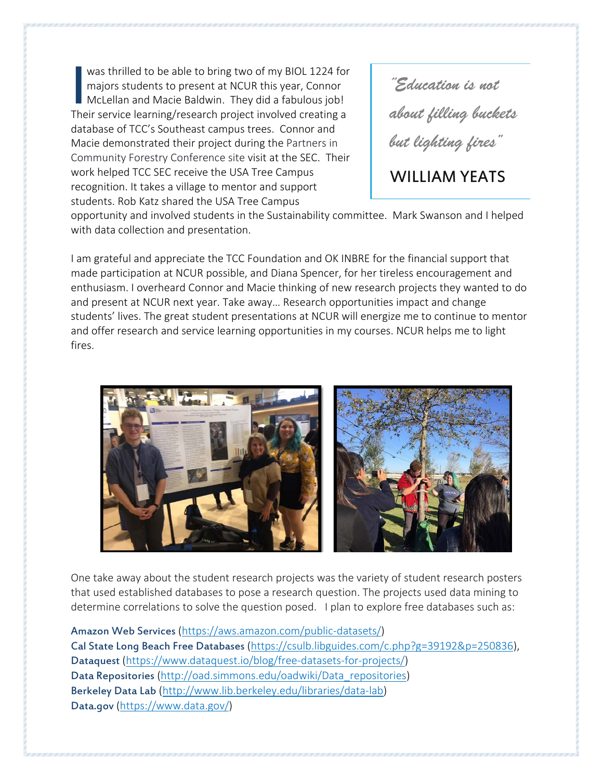was thrilled to be able to bring two of my BIOL 1224 for majors students to present at NCUR this year, Connor McLellan and Macie Baldwin. They did a fabulous job! Their service learning/research project involved creating a database of TCC's Southeast campus trees. Connor and Macie demonstrated their project during the Partners in Community Forestry Conference site visit at the SEC. Their work helped TCC SEC receive the USA Tree Campus recognition. It takes a village to mentor and support students. Rob Katz shared the USA Tree Campus **I** was thrilled to be able to bring two of my BIOL 1224 for<br>
majors students to present at NCUR this year, Connor<br>
McLellan and Macie Baldwin. They did a fabulous job!<br>
Their service learning/research project involved cre

*about filling buckets but lighting fires"* 

# WILLIAM YEATS

opportunity and involved students in the Sustainability committee. Mark Swanson and I helped with data collection and presentation.

I am grateful and appreciate the TCC Foundation and OK INBRE for the financial support that made participation at NCUR possible, and Diana Spencer, for her tireless encouragement and enthusiasm. I overheard Connor and Macie thinking of new research projects they wanted to do and present at NCUR next year. Take away… Research opportunities impact and change students' lives. The great student presentations at NCUR will energize me to continue to mentor and offer research and service learning opportunities in my courses. NCUR helps me to light fires.



One take away about the student research projects was the variety of student research posters that used established databases to pose a research question. The projects used data mining to determine correlations to solve the question posed. I plan to explore free databases such as:

Amazon Web Services [\(https://aws.amazon.com/public-datasets/\)](https://aws.amazon.com/public-datasets/) Cal State Long Beach Free Databases [\(https://csulb.libguides.com/c.php?g=39192&p=250836\)](https://csulb.libguides.com/c.php?g=39192&p=250836), Dataquest [\(https://www.dataquest.io/blog/free-datasets-for-projects/\)](https://www.dataquest.io/blog/free-datasets-for-projects/) Data Repositories [\(http://oad.simmons.edu/oadwiki/Data\\_repositories\)](http://oad.simmons.edu/oadwiki/Data_repositories) Berkeley Data Lab [\(http://www.lib.berkeley.edu/libraries/data-lab\)](http://www.lib.berkeley.edu/libraries/data-lab) Data.gov [\(https://www.data.gov/\)](https://www.data.gov/)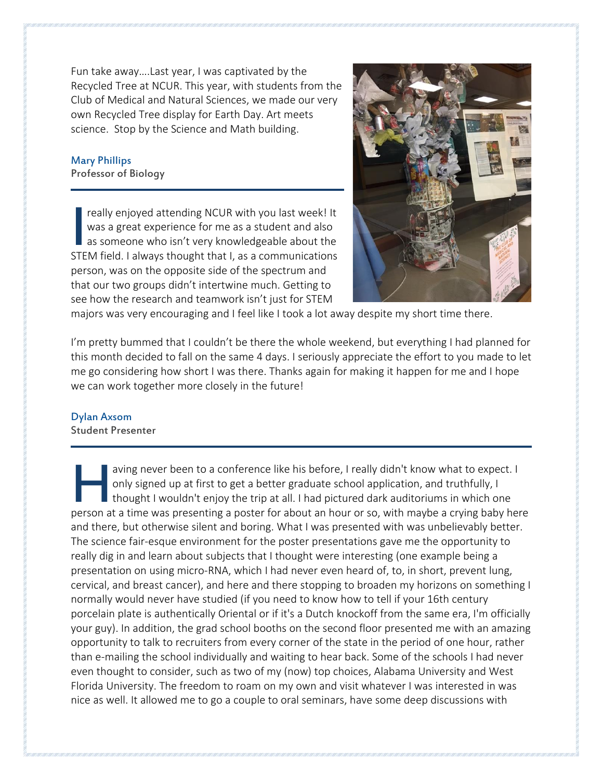Fun take away….Last year, I was captivated by the Recycled Tree at NCUR. This year, with students from the Club of Medical and Natural Sciences, we made our very own Recycled Tree display for Earth Day. Art meets science. Stop by the Science and Math building.

# Mary Phillips

Professor of Biology

really enjoyed attending NCUR with you last week! It was a great experience for me as a student and also as someone who isn't very knowledgeable about the really enjoyed attending NCUR with you last week! It was a great experience for me as a student and also as someone who isn't very knowledgeable about the STEM field. I always thought that I, as a communications person, was on the opposite side of the spectrum and that our two groups didn't intertwine much. Getting to see how the research and teamwork isn't just for STEM



majors was very encouraging and I feel like I took a lot away despite my short time there.

I'm pretty bummed that I couldn't be there the whole weekend, but everything I had planned for this month decided to fall on the same 4 days. I seriously appreciate the effort to you made to let me go considering how short I was there. Thanks again for making it happen for me and I hope we can work together more closely in the future!

### Dylan Axsom

Student Presenter

aving never been to a conference like his before, I really didn't know what to expect. I only signed up at first to get a better graduate school application, and truthfully, I thought I wouldn't enjoy the trip at all. I had pictured dark auditoriums in which one aving never been to a conference like his before, I really didn't know what to expect. I<br>only signed up at first to get a better graduate school application, and truthfully, I<br>thought I wouldn't enjoy the trip at all. I ha and there, but otherwise silent and boring. What I was presented with was unbelievably better. The science fair-esque environment for the poster presentations gave me the opportunity to really dig in and learn about subjects that I thought were interesting (one example being a presentation on using micro-RNA, which I had never even heard of, to, in short, prevent lung, cervical, and breast cancer), and here and there stopping to broaden my horizons on something I normally would never have studied (if you need to know how to tell if your 16th century porcelain plate is authentically Oriental or if it's a Dutch knockoff from the same era, I'm officially your guy). In addition, the grad school booths on the second floor presented me with an amazing opportunity to talk to recruiters from every corner of the state in the period of one hour, rather than e-mailing the school individually and waiting to hear back. Some of the schools I had never even thought to consider, such as two of my (now) top choices, Alabama University and West Florida University. The freedom to roam on my own and visit whatever I was interested in was nice as well. It allowed me to go a couple to oral seminars, have some deep discussions with